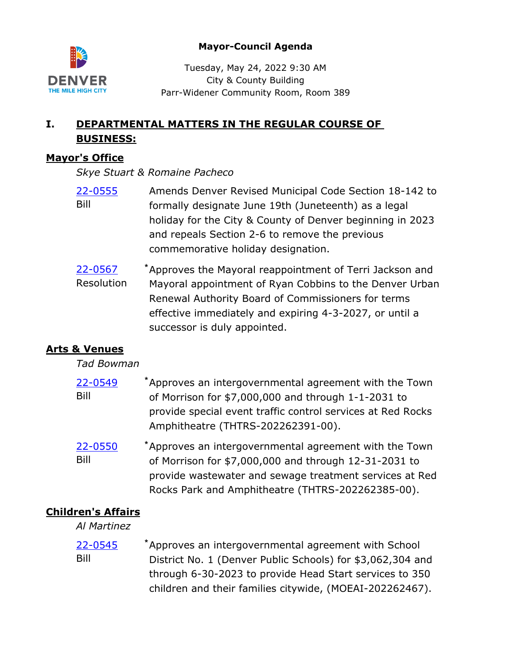

### **Mayor-Council Agenda**

Tuesday, May 24, 2022 9:30 AM City & County Building Parr-Widener Community Room, Room 389

# **I. DEPARTMENTAL MATTERS IN THE REGULAR COURSE OF BUSINESS:**

### **Mayor's Office**

*Skye Stuart & Romaine Pacheco*

- Amends Denver Revised Municipal Code Section 18-142 to formally designate June 19th (Juneteenth) as a legal holiday for the City & County of Denver beginning in 2023 and repeals Section 2-6 to remove the previous commemorative holiday designation. [22-0555](http://denver.legistar.com/gateway.aspx?m=l&id=/matter.aspx?key=21622) Bill
- Approves the Mayoral reappointment of Terri Jackson and Mayoral appointment of Ryan Cobbins to the Denver Urban Renewal Authority Board of Commissioners for terms effective immediately and expiring 4-3-2027, or until a successor is duly appointed. [22-0567](http://denver.legistar.com/gateway.aspx?m=l&id=/matter.aspx?key=21634) **\*** Resolution

# **Arts & Venues**

### *Tad Bowman*

| 22-0549 | *Approves an intergovernmental agreement with the Town      |
|---------|-------------------------------------------------------------|
| Bill    | of Morrison for \$7,000,000 and through 1-1-2031 to         |
|         | provide special event traffic control services at Red Rocks |
|         | Amphitheatre (THTRS-202262391-00).                          |
| 22 DEED | *Annrouge an interseuernmental agreement with the Town      |

Approves an intergovernmental agreement with the Town of Morrison for \$7,000,000 and through 12-31-2031 to provide wastewater and sewage treatment services at Red Rocks Park and Amphitheatre (THTRS-202262385-00). [22-0550](http://denver.legistar.com/gateway.aspx?m=l&id=/matter.aspx?key=21617) **\*** Bill

## **Children's Affairs**

*Al Martinez*

Approves an intergovernmental agreement with School District No. 1 (Denver Public Schools) for \$3,062,304 and through 6-30-2023 to provide Head Start services to 350 children and their families citywide, (MOEAI-202262467). [22-0545](http://denver.legistar.com/gateway.aspx?m=l&id=/matter.aspx?key=21612) **\*** Bill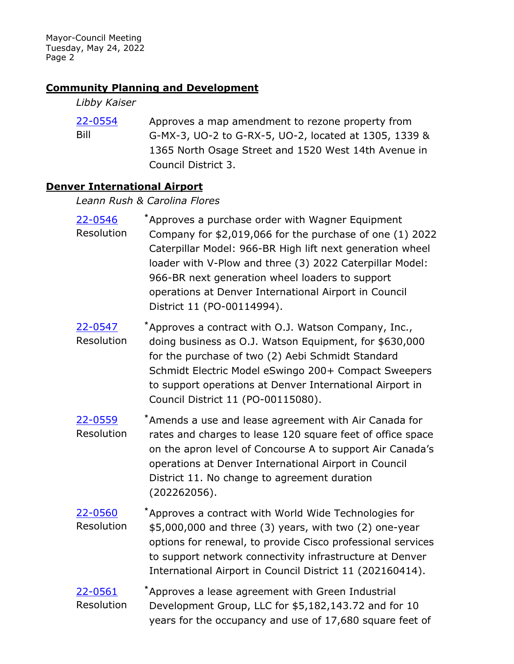### **Community Planning and Development**

#### *Libby Kaiser*

Approves a map amendment to rezone property from G-MX-3, UO-2 to G-RX-5, UO-2, located at 1305, 1339 & 1365 North Osage Street and 1520 West 14th Avenue in Council District 3. [22-0554](http://denver.legistar.com/gateway.aspx?m=l&id=/matter.aspx?key=21621) Bill

### **Denver International Airport**

*Leann Rush & Carolina Flores*

| 22-0546<br>Resolution | Approves a purchase order with Wagner Equipment<br>Company for \$2,019,066 for the purchase of one (1) 2022<br>Caterpillar Model: 966-BR High lift next generation wheel<br>loader with V-Plow and three (3) 2022 Caterpillar Model:<br>966-BR next generation wheel loaders to support<br>operations at Denver International Airport in Council<br>District 11 (PO-00114994). |
|-----------------------|--------------------------------------------------------------------------------------------------------------------------------------------------------------------------------------------------------------------------------------------------------------------------------------------------------------------------------------------------------------------------------|
| 22-0547<br>Resolution | *Approves a contract with O.J. Watson Company, Inc.,<br>doing business as O.J. Watson Equipment, for \$630,000<br>for the purchase of two (2) Aebi Schmidt Standard<br>Schmidt Electric Model eSwingo 200+ Compact Sweepers<br>to support operations at Denver International Airport in<br>Council District 11 (PO-00115080).                                                  |
| 22-0559<br>Resolution | *Amends a use and lease agreement with Air Canada for<br>rates and charges to lease 120 square feet of office space<br>on the apron level of Concourse A to support Air Canada's<br>operations at Denver International Airport in Council<br>District 11. No change to agreement duration<br>(202262056).                                                                      |
| 22-0560<br>Resolution | *Approves a contract with World Wide Technologies for<br>\$5,000,000 and three (3) years, with two (2) one-year<br>options for renewal, to provide Cisco professional services<br>to support network connectivity infrastructure at Denver<br>International Airport in Council District 11 (202160414).                                                                        |
| 22-0561<br>Resolution | *Approves a lease agreement with Green Industrial<br>Development Group, LLC for \$5,182,143.72 and for 10<br>years for the occupancy and use of 17,680 square feet of                                                                                                                                                                                                          |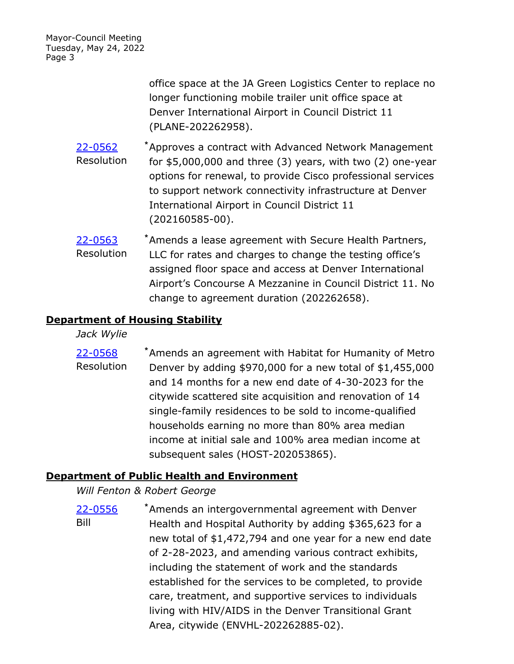> office space at the JA Green Logistics Center to replace no longer functioning mobile trailer unit office space at Denver International Airport in Council District 11 (PLANE-202262958).

- Approves a contract with Advanced Network Management for \$5,000,000 and three (3) years, with two (2) one-year options for renewal, to provide Cisco professional services to support network connectivity infrastructure at Denver International Airport in Council District 11 (202160585-00). [22-0562](http://denver.legistar.com/gateway.aspx?m=l&id=/matter.aspx?key=21629) **\*** Resolution
- Amends a lease agreement with Secure Health Partners, LLC for rates and charges to change the testing office's assigned floor space and access at Denver International Airport's Concourse A Mezzanine in Council District 11. No change to agreement duration (202262658). [22-0563](http://denver.legistar.com/gateway.aspx?m=l&id=/matter.aspx?key=21630) **\*** Resolution

#### **Department of Housing Stability**

*Jack Wylie*

Amends an agreement with Habitat for Humanity of Metro Denver by adding \$970,000 for a new total of \$1,455,000 and 14 months for a new end date of 4-30-2023 for the citywide scattered site acquisition and renovation of 14 single-family residences to be sold to income-qualified households earning no more than 80% area median income at initial sale and 100% area median income at subsequent sales (HOST-202053865). [22-0568](http://denver.legistar.com/gateway.aspx?m=l&id=/matter.aspx?key=21635) **\*** Resolution

## **Department of Public Health and Environment**

*Will Fenton & Robert George*

Amends an intergovernmental agreement with Denver Health and Hospital Authority by adding \$365,623 for a new total of \$1,472,794 and one year for a new end date of 2-28-2023, and amending various contract exhibits, including the statement of work and the standards established for the services to be completed, to provide care, treatment, and supportive services to individuals living with HIV/AIDS in the Denver Transitional Grant Area, citywide (ENVHL-202262885-02). [22-0556](http://denver.legistar.com/gateway.aspx?m=l&id=/matter.aspx?key=21623) **\*** Bill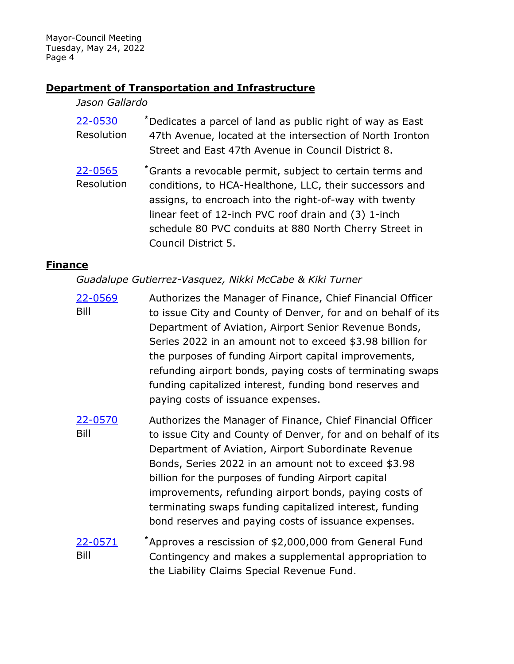### **Department of Transportation and Infrastructure**

#### *Jason Gallardo*

- Dedicates a parcel of land as public right of way as East 47th Avenue, located at the intersection of North Ironton Street and East 47th Avenue in Council District 8. [22-0530](http://denver.legistar.com/gateway.aspx?m=l&id=/matter.aspx?key=21597) **\*** Resolution
- Grants a revocable permit, subject to certain terms and conditions, to HCA-Healthone, LLC, their successors and assigns, to encroach into the right-of-way with twenty linear feet of 12-inch PVC roof drain and (3) 1-inch schedule 80 PVC conduits at 880 North Cherry Street in Council District 5. [22-0565](http://denver.legistar.com/gateway.aspx?m=l&id=/matter.aspx?key=21632) **\*** Resolution

### **Finance**

*Guadalupe Gutierrez-Vasquez, Nikki McCabe & Kiki Turner*

- Authorizes the Manager of Finance, Chief Financial Officer to issue City and County of Denver, for and on behalf of its Department of Aviation, Airport Senior Revenue Bonds, Series 2022 in an amount not to exceed \$3.98 billion for the purposes of funding Airport capital improvements, refunding airport bonds, paying costs of terminating swaps funding capitalized interest, funding bond reserves and paying costs of issuance expenses. [22-0569](http://denver.legistar.com/gateway.aspx?m=l&id=/matter.aspx?key=21636) Bill
- Authorizes the Manager of Finance, Chief Financial Officer to issue City and County of Denver, for and on behalf of its Department of Aviation, Airport Subordinate Revenue Bonds, Series 2022 in an amount not to exceed \$3.98 billion for the purposes of funding Airport capital improvements, refunding airport bonds, paying costs of terminating swaps funding capitalized interest, funding bond reserves and paying costs of issuance expenses. [22-0570](http://denver.legistar.com/gateway.aspx?m=l&id=/matter.aspx?key=21637) Bill
- Approves a rescission of \$2,000,000 from General Fund Contingency and makes a supplemental appropriation to the Liability Claims Special Revenue Fund. [22-0571](http://denver.legistar.com/gateway.aspx?m=l&id=/matter.aspx?key=21638) **\*** Bill